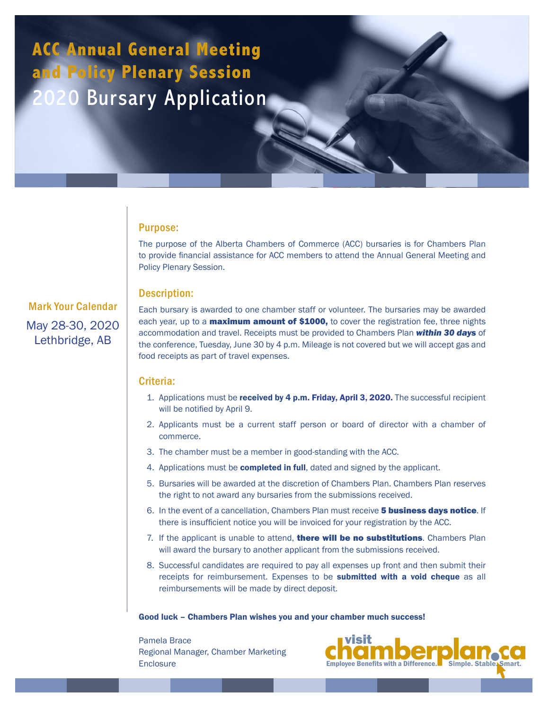# **ACC Annual General Meeting and Policy Plenary Session** 2020 Bursary Application

### Purpose:

The purpose of the Alberta Chambers of Commerce (ACC) bursaries is for Chambers Plan to provide financial assistance for ACC members to attend the Annual General Meeting and Policy Plenary Session.

# Description:

Mark Your Calendar May 28-30, 2020 Lethbridge, AB

Each bursary is awarded to one chamber staff or volunteer. The bursaries may be awarded each year, up to a **maximum amount of \$1000**, to cover the registration fee, three nights accommodation and travel. Receipts must be provided to Chambers Plan *within 30 days* of the conference, Tuesday, June 30 by 4 p.m. Mileage is not covered but we will accept gas and food receipts as part of travel expenses.

# Criteria:

- 1. Applications must be received by 4 p.m. Friday, April 3, 2020. The successful recipient will be notified by April 9.
- 2. Applicants must be a current staff person or board of director with a chamber of commerce.
- 3. The chamber must be a member in good-standing with the ACC.
- 4. Applications must be **completed in full**, dated and signed by the applicant.
- 5. Bursaries will be awarded at the discretion of Chambers Plan. Chambers Plan reserves the right to not award any bursaries from the submissions received.
- 6. In the event of a cancellation, Chambers Plan must receive **5 business days notice**. If there is insufficient notice you will be invoiced for your registration by the ACC.
- 7. If the applicant is unable to attend, there will be no substitutions. Chambers Plan will award the bursary to another applicant from the submissions received.
- 8. Successful candidates are required to pay all expenses up front and then submit their receipts for reimbursement. Expenses to be **submitted with a void cheque** as all reimbursements will be made by direct deposit.

### Good luck – Chambers Plan wishes you and your chamber much success!

Pamela Brace Regional Manager, Chamber Marketing **Enclosure**